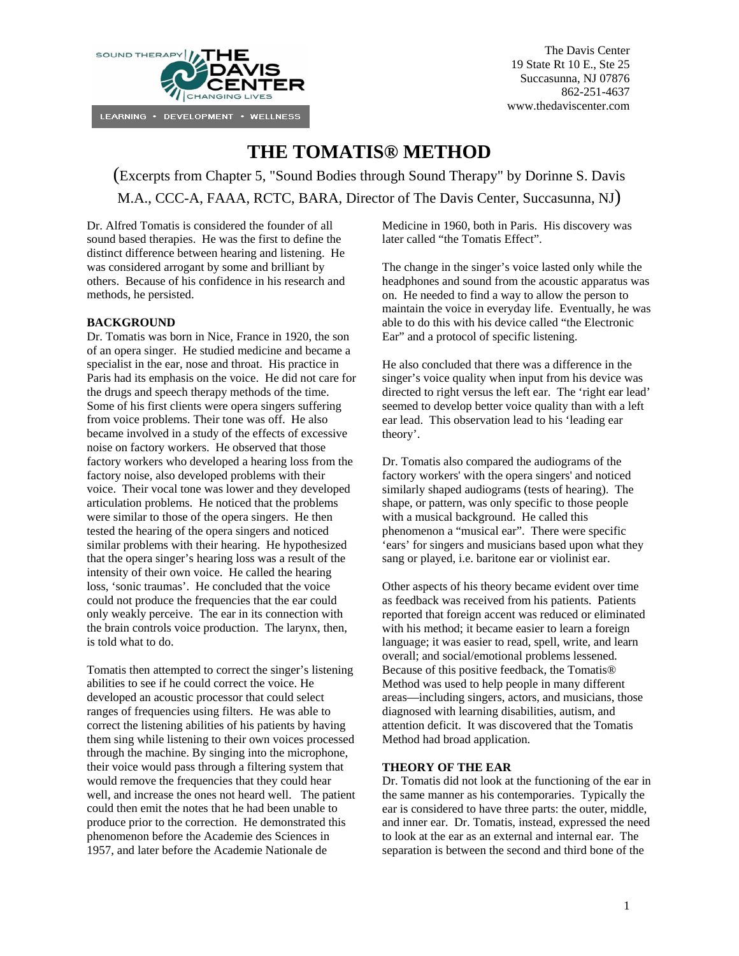

# **THE TOMATIS® METHOD**

(Excerpts from Chapter 5, "Sound Bodies through Sound Therapy" by Dorinne S. Davis M.A., CCC-A, FAAA, RCTC, BARA, Director of The Davis Center, Succasunna, NJ)

Dr. Alfred Tomatis is considered the founder of all sound based therapies. He was the first to define the distinct difference between hearing and listening. He was considered arrogant by some and brilliant by others. Because of his confidence in his research and methods, he persisted.

# **BACKGROUND**

Dr. Tomatis was born in Nice, France in 1920, the son of an opera singer. He studied medicine and became a specialist in the ear, nose and throat. His practice in Paris had its emphasis on the voice. He did not care for the drugs and speech therapy methods of the time. Some of his first clients were opera singers suffering from voice problems. Their tone was off. He also became involved in a study of the effects of excessive noise on factory workers. He observed that those factory workers who developed a hearing loss from the factory noise, also developed problems with their voice. Their vocal tone was lower and they developed articulation problems. He noticed that the problems were similar to those of the opera singers. He then tested the hearing of the opera singers and noticed similar problems with their hearing. He hypothesized that the opera singer's hearing loss was a result of the intensity of their own voice. He called the hearing loss, 'sonic traumas'. He concluded that the voice could not produce the frequencies that the ear could only weakly perceive. The ear in its connection with the brain controls voice production. The larynx, then, is told what to do.

Tomatis then attempted to correct the singer's listening abilities to see if he could correct the voice. He developed an acoustic processor that could select ranges of frequencies using filters. He was able to correct the listening abilities of his patients by having them sing while listening to their own voices processed through the machine. By singing into the microphone, their voice would pass through a filtering system that would remove the frequencies that they could hear well, and increase the ones not heard well. The patient could then emit the notes that he had been unable to produce prior to the correction. He demonstrated this phenomenon before the Academie des Sciences in 1957, and later before the Academie Nationale de

Medicine in 1960, both in Paris. His discovery was later called "the Tomatis Effect".

The change in the singer's voice lasted only while the headphones and sound from the acoustic apparatus was on. He needed to find a way to allow the person to maintain the voice in everyday life. Eventually, he was able to do this with his device called "the Electronic Ear" and a protocol of specific listening.

He also concluded that there was a difference in the singer's voice quality when input from his device was directed to right versus the left ear. The 'right ear lead' seemed to develop better voice quality than with a left ear lead. This observation lead to his 'leading ear theory'.

Dr. Tomatis also compared the audiograms of the factory workers' with the opera singers' and noticed similarly shaped audiograms (tests of hearing). The shape, or pattern, was only specific to those people with a musical background. He called this phenomenon a "musical ear". There were specific 'ears' for singers and musicians based upon what they sang or played, i.e. baritone ear or violinist ear.

Other aspects of his theory became evident over time as feedback was received from his patients. Patients reported that foreign accent was reduced or eliminated with his method; it became easier to learn a foreign language; it was easier to read, spell, write, and learn overall; and social/emotional problems lessened. Because of this positive feedback, the Tomatis® Method was used to help people in many different areas—including singers, actors, and musicians, those diagnosed with learning disabilities, autism, and attention deficit. It was discovered that the Tomatis Method had broad application.

## **THEORY OF THE EAR**

Dr. Tomatis did not look at the functioning of the ear in the same manner as his contemporaries. Typically the ear is considered to have three parts: the outer, middle, and inner ear. Dr. Tomatis, instead, expressed the need to look at the ear as an external and internal ear. The separation is between the second and third bone of the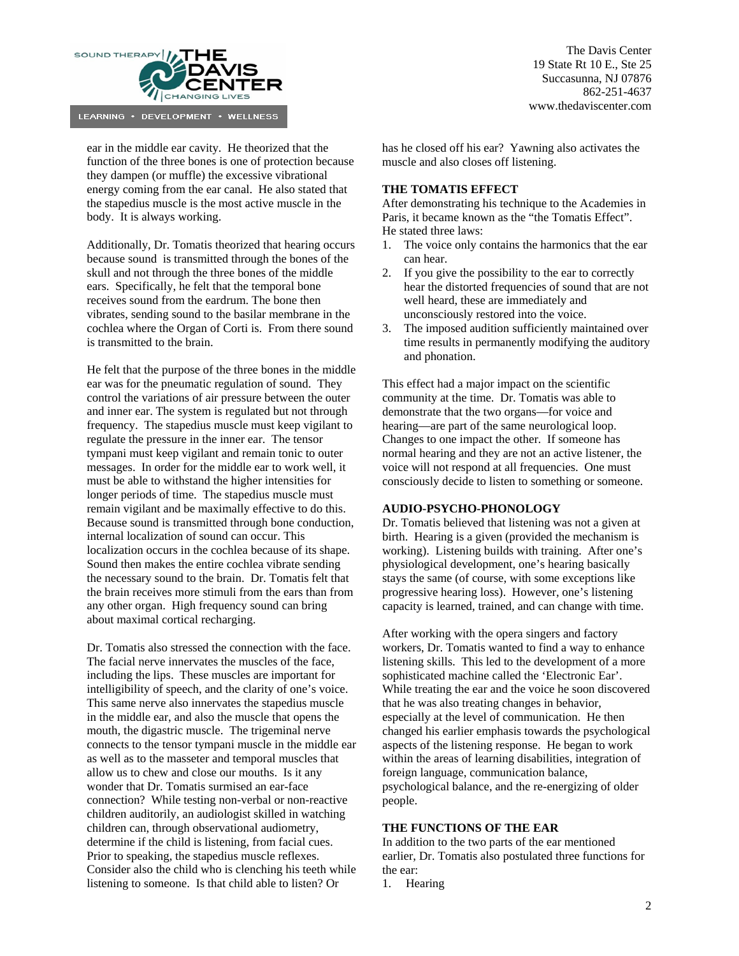

ear in the middle ear cavity. He theorized that the function of the three bones is one of protection because they dampen (or muffle) the excessive vibrational energy coming from the ear canal. He also stated that the stapedius muscle is the most active muscle in the body. It is always working.

Additionally, Dr. Tomatis theorized that hearing occurs because sound is transmitted through the bones of the skull and not through the three bones of the middle ears. Specifically, he felt that the temporal bone receives sound from the eardrum. The bone then vibrates, sending sound to the basilar membrane in the cochlea where the Organ of Corti is. From there sound is transmitted to the brain.

He felt that the purpose of the three bones in the middle ear was for the pneumatic regulation of sound. They control the variations of air pressure between the outer and inner ear. The system is regulated but not through frequency. The stapedius muscle must keep vigilant to regulate the pressure in the inner ear. The tensor tympani must keep vigilant and remain tonic to outer messages. In order for the middle ear to work well, it must be able to withstand the higher intensities for longer periods of time. The stapedius muscle must remain vigilant and be maximally effective to do this. Because sound is transmitted through bone conduction, internal localization of sound can occur. This localization occurs in the cochlea because of its shape. Sound then makes the entire cochlea vibrate sending the necessary sound to the brain. Dr. Tomatis felt that the brain receives more stimuli from the ears than from any other organ. High frequency sound can bring about maximal cortical recharging.

Dr. Tomatis also stressed the connection with the face. The facial nerve innervates the muscles of the face, including the lips. These muscles are important for intelligibility of speech, and the clarity of one's voice. This same nerve also innervates the stapedius muscle in the middle ear, and also the muscle that opens the mouth, the digastric muscle. The trigeminal nerve connects to the tensor tympani muscle in the middle ear as well as to the masseter and temporal muscles that allow us to chew and close our mouths. Is it any wonder that Dr. Tomatis surmised an ear-face connection? While testing non-verbal or non-reactive children auditorily, an audiologist skilled in watching children can, through observational audiometry, determine if the child is listening, from facial cues. Prior to speaking, the stapedius muscle reflexes. Consider also the child who is clenching his teeth while listening to someone. Is that child able to listen? Or

The Davis Center 19 State Rt 10 E., Ste 25 Succasunna, NJ 07876 862-251-4637 www.thedaviscenter.com

has he closed off his ear? Yawning also activates the muscle and also closes off listening.

## **THE TOMATIS EFFECT**

After demonstrating his technique to the Academies in Paris, it became known as the "the Tomatis Effect". He stated three laws:

- 1. The voice only contains the harmonics that the ear can hear.
- 2. If you give the possibility to the ear to correctly hear the distorted frequencies of sound that are not well heard, these are immediately and unconsciously restored into the voice.
- 3. The imposed audition sufficiently maintained over time results in permanently modifying the auditory and phonation.

This effect had a major impact on the scientific community at the time. Dr. Tomatis was able to demonstrate that the two organs—for voice and hearing—are part of the same neurological loop. Changes to one impact the other. If someone has normal hearing and they are not an active listener, the voice will not respond at all frequencies. One must consciously decide to listen to something or someone.

#### **AUDIO-PSYCHO-PHONOLOGY**

Dr. Tomatis believed that listening was not a given at birth. Hearing is a given (provided the mechanism is working). Listening builds with training. After one's physiological development, one's hearing basically stays the same (of course, with some exceptions like progressive hearing loss). However, one's listening capacity is learned, trained, and can change with time.

After working with the opera singers and factory workers, Dr. Tomatis wanted to find a way to enhance listening skills. This led to the development of a more sophisticated machine called the 'Electronic Ear'. While treating the ear and the voice he soon discovered that he was also treating changes in behavior, especially at the level of communication. He then changed his earlier emphasis towards the psychological aspects of the listening response. He began to work within the areas of learning disabilities, integration of foreign language, communication balance, psychological balance, and the re-energizing of older people.

## **THE FUNCTIONS OF THE EAR**

In addition to the two parts of the ear mentioned earlier, Dr. Tomatis also postulated three functions for the ear:

1. Hearing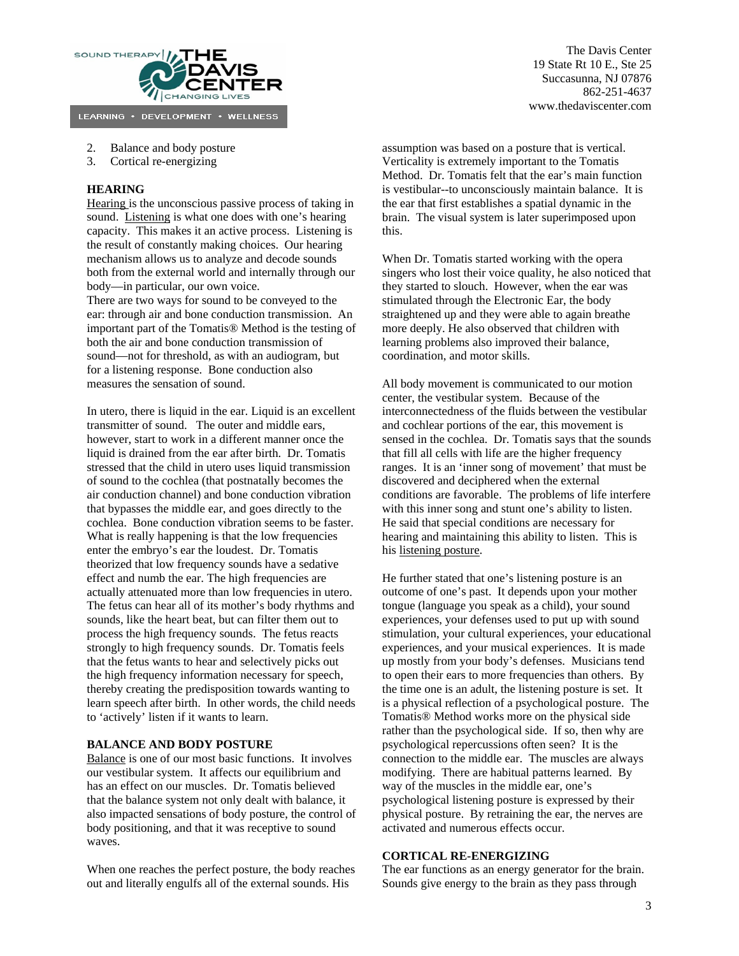

- 2. Balance and body posture
- 3. Cortical re-energizing

## **HEARING**

Hearing is the unconscious passive process of taking in sound. Listening is what one does with one's hearing capacity. This makes it an active process. Listening is the result of constantly making choices. Our hearing mechanism allows us to analyze and decode sounds both from the external world and internally through our body—in particular, our own voice.

There are two ways for sound to be conveyed to the ear: through air and bone conduction transmission. An important part of the Tomatis® Method is the testing of both the air and bone conduction transmission of sound—not for threshold, as with an audiogram, but for a listening response. Bone conduction also measures the sensation of sound.

In utero, there is liquid in the ear. Liquid is an excellent transmitter of sound. The outer and middle ears, however, start to work in a different manner once the liquid is drained from the ear after birth. Dr. Tomatis stressed that the child in utero uses liquid transmission of sound to the cochlea (that postnatally becomes the air conduction channel) and bone conduction vibration that bypasses the middle ear, and goes directly to the cochlea. Bone conduction vibration seems to be faster. What is really happening is that the low frequencies enter the embryo's ear the loudest. Dr. Tomatis theorized that low frequency sounds have a sedative effect and numb the ear. The high frequencies are actually attenuated more than low frequencies in utero. The fetus can hear all of its mother's body rhythms and sounds, like the heart beat, but can filter them out to process the high frequency sounds. The fetus reacts strongly to high frequency sounds. Dr. Tomatis feels that the fetus wants to hear and selectively picks out the high frequency information necessary for speech, thereby creating the predisposition towards wanting to learn speech after birth. In other words, the child needs to 'actively' listen if it wants to learn.

#### **BALANCE AND BODY POSTURE**

Balance is one of our most basic functions. It involves our vestibular system. It affects our equilibrium and has an effect on our muscles. Dr. Tomatis believed that the balance system not only dealt with balance, it also impacted sensations of body posture, the control of body positioning, and that it was receptive to sound waves.

When one reaches the perfect posture, the body reaches out and literally engulfs all of the external sounds. His

assumption was based on a posture that is vertical. Verticality is extremely important to the Tomatis Method. Dr. Tomatis felt that the ear's main function is vestibular--to unconsciously maintain balance. It is the ear that first establishes a spatial dynamic in the brain. The visual system is later superimposed upon this.

When Dr. Tomatis started working with the opera singers who lost their voice quality, he also noticed that they started to slouch. However, when the ear was stimulated through the Electronic Ear, the body straightened up and they were able to again breathe more deeply. He also observed that children with learning problems also improved their balance, coordination, and motor skills.

All body movement is communicated to our motion center, the vestibular system. Because of the interconnectedness of the fluids between the vestibular and cochlear portions of the ear, this movement is sensed in the cochlea. Dr. Tomatis says that the sounds that fill all cells with life are the higher frequency ranges. It is an 'inner song of movement' that must be discovered and deciphered when the external conditions are favorable. The problems of life interfere with this inner song and stunt one's ability to listen. He said that special conditions are necessary for hearing and maintaining this ability to listen. This is his listening posture.

He further stated that one's listening posture is an outcome of one's past. It depends upon your mother tongue (language you speak as a child), your sound experiences, your defenses used to put up with sound stimulation, your cultural experiences, your educational experiences, and your musical experiences. It is made up mostly from your body's defenses. Musicians tend to open their ears to more frequencies than others. By the time one is an adult, the listening posture is set. It is a physical reflection of a psychological posture. The Tomatis® Method works more on the physical side rather than the psychological side. If so, then why are psychological repercussions often seen? It is the connection to the middle ear. The muscles are always modifying. There are habitual patterns learned. By way of the muscles in the middle ear, one's psychological listening posture is expressed by their physical posture. By retraining the ear, the nerves are activated and numerous effects occur.

# **CORTICAL RE-ENERGIZING**

The ear functions as an energy generator for the brain. Sounds give energy to the brain as they pass through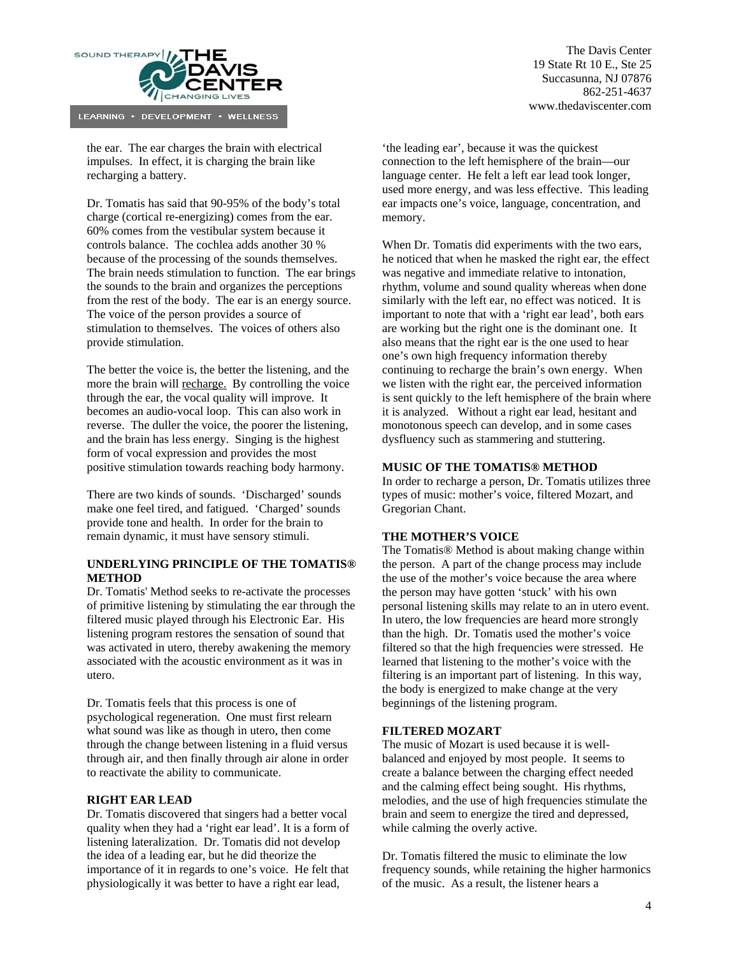

the ear. The ear charges the brain with electrical impulses. In effect, it is charging the brain like recharging a battery.

Dr. Tomatis has said that 90-95% of the body's total charge (cortical re-energizing) comes from the ear. 60% comes from the vestibular system because it controls balance. The cochlea adds another 30 % because of the processing of the sounds themselves. The brain needs stimulation to function. The ear brings the sounds to the brain and organizes the perceptions from the rest of the body. The ear is an energy source. The voice of the person provides a source of stimulation to themselves. The voices of others also provide stimulation.

The better the voice is, the better the listening, and the more the brain will recharge. By controlling the voice through the ear, the vocal quality will improve. It becomes an audio-vocal loop. This can also work in reverse. The duller the voice, the poorer the listening, and the brain has less energy. Singing is the highest form of vocal expression and provides the most positive stimulation towards reaching body harmony.

There are two kinds of sounds. 'Discharged' sounds make one feel tired, and fatigued. 'Charged' sounds provide tone and health. In order for the brain to remain dynamic, it must have sensory stimuli.

## **UNDERLYING PRINCIPLE OF THE TOMATIS® METHOD**

Dr. Tomatis' Method seeks to re-activate the processes of primitive listening by stimulating the ear through the filtered music played through his Electronic Ear. His listening program restores the sensation of sound that was activated in utero, thereby awakening the memory associated with the acoustic environment as it was in utero.

Dr. Tomatis feels that this process is one of psychological regeneration. One must first relearn what sound was like as though in utero, then come through the change between listening in a fluid versus through air, and then finally through air alone in order to reactivate the ability to communicate.

## **RIGHT EAR LEAD**

Dr. Tomatis discovered that singers had a better vocal quality when they had a 'right ear lead'. It is a form of listening lateralization. Dr. Tomatis did not develop the idea of a leading ear, but he did theorize the importance of it in regards to one's voice. He felt that physiologically it was better to have a right ear lead,

'the leading ear', because it was the quickest connection to the left hemisphere of the brain—our language center. He felt a left ear lead took longer, used more energy, and was less effective. This leading ear impacts one's voice, language, concentration, and memory.

When Dr. Tomatis did experiments with the two ears, he noticed that when he masked the right ear, the effect was negative and immediate relative to intonation, rhythm, volume and sound quality whereas when done similarly with the left ear, no effect was noticed. It is important to note that with a 'right ear lead', both ears are working but the right one is the dominant one. It also means that the right ear is the one used to hear one's own high frequency information thereby continuing to recharge the brain's own energy. When we listen with the right ear, the perceived information is sent quickly to the left hemisphere of the brain where it is analyzed. Without a right ear lead, hesitant and monotonous speech can develop, and in some cases dysfluency such as stammering and stuttering.

#### **MUSIC OF THE TOMATIS® METHOD**

In order to recharge a person, Dr. Tomatis utilizes three types of music: mother's voice, filtered Mozart, and Gregorian Chant.

#### **THE MOTHER'S VOICE**

The Tomatis® Method is about making change within the person. A part of the change process may include the use of the mother's voice because the area where the person may have gotten 'stuck' with his own personal listening skills may relate to an in utero event. In utero, the low frequencies are heard more strongly than the high. Dr. Tomatis used the mother's voice filtered so that the high frequencies were stressed. He learned that listening to the mother's voice with the filtering is an important part of listening. In this way, the body is energized to make change at the very beginnings of the listening program.

## **FILTERED MOZART**

The music of Mozart is used because it is wellbalanced and enjoyed by most people. It seems to create a balance between the charging effect needed and the calming effect being sought. His rhythms, melodies, and the use of high frequencies stimulate the brain and seem to energize the tired and depressed, while calming the overly active.

Dr. Tomatis filtered the music to eliminate the low frequency sounds, while retaining the higher harmonics of the music. As a result, the listener hears a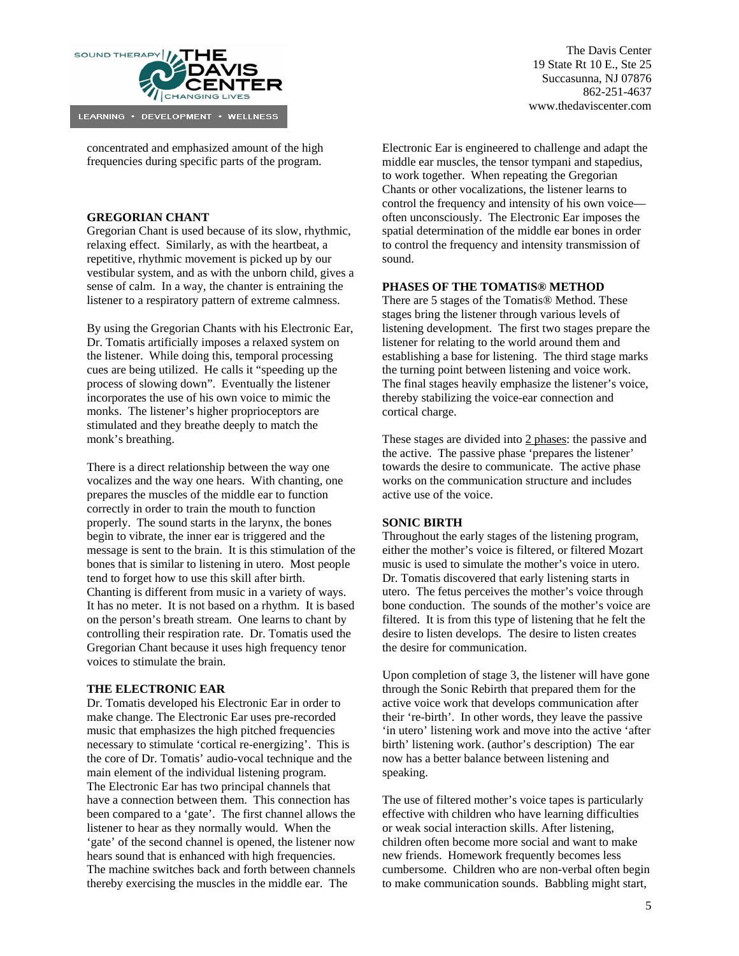

concentrated and emphasized amount of the high frequencies during specific parts of the program.

## **GREGORIAN CHANT**

Gregorian Chant is used because of its slow, rhythmic, relaxing effect. Similarly, as with the heartbeat, a repetitive, rhythmic movement is picked up by our vestibular system, and as with the unborn child, gives a sense of calm. In a way, the chanter is entraining the listener to a respiratory pattern of extreme calmness.

By using the Gregorian Chants with his Electronic Ear, Dr. Tomatis artificially imposes a relaxed system on the listener. While doing this, temporal processing cues are being utilized. He calls it "speeding up the process of slowing down". Eventually the listener incorporates the use of his own voice to mimic the monks. The listener's higher proprioceptors are stimulated and they breathe deeply to match the monk's breathing.

There is a direct relationship between the way one vocalizes and the way one hears. With chanting, one prepares the muscles of the middle ear to function correctly in order to train the mouth to function properly. The sound starts in the larynx, the bones begin to vibrate, the inner ear is triggered and the message is sent to the brain. It is this stimulation of the bones that is similar to listening in utero. Most people tend to forget how to use this skill after birth. Chanting is different from music in a variety of ways. It has no meter. It is not based on a rhythm. It is based on the person's breath stream. One learns to chant by controlling their respiration rate. Dr. Tomatis used the Gregorian Chant because it uses high frequency tenor voices to stimulate the brain.

#### **THE ELECTRONIC EAR**

Dr. Tomatis developed his Electronic Ear in order to make change. The Electronic Ear uses pre-recorded music that emphasizes the high pitched frequencies necessary to stimulate 'cortical re-energizing'. This is the core of Dr. Tomatis' audio-vocal technique and the main element of the individual listening program. The Electronic Ear has two principal channels that have a connection between them. This connection has been compared to a 'gate'. The first channel allows the listener to hear as they normally would. When the 'gate' of the second channel is opened, the listener now hears sound that is enhanced with high frequencies. The machine switches back and forth between channels thereby exercising the muscles in the middle ear. The

The Davis Center 19 State Rt 10 E., Ste 25 Succasunna, NJ 07876 862-251-4637 www.thedaviscenter.com

Electronic Ear is engineered to challenge and adapt the middle ear muscles, the tensor tympani and stapedius, to work together. When repeating the Gregorian Chants or other vocalizations, the listener learns to control the frequency and intensity of his own voice often unconsciously. The Electronic Ear imposes the spatial determination of the middle ear bones in order to control the frequency and intensity transmission of sound.

#### **PHASES OF THE TOMATIS® METHOD**

There are 5 stages of the Tomatis® Method. These stages bring the listener through various levels of listening development. The first two stages prepare the listener for relating to the world around them and establishing a base for listening. The third stage marks the turning point between listening and voice work. The final stages heavily emphasize the listener's voice, thereby stabilizing the voice-ear connection and cortical charge.

These stages are divided into 2 phases: the passive and the active. The passive phase 'prepares the listener' towards the desire to communicate. The active phase works on the communication structure and includes active use of the voice.

#### **SONIC BIRTH**

Throughout the early stages of the listening program, either the mother's voice is filtered, or filtered Mozart music is used to simulate the mother's voice in utero. Dr. Tomatis discovered that early listening starts in utero. The fetus perceives the mother's voice through bone conduction. The sounds of the mother's voice are filtered. It is from this type of listening that he felt the desire to listen develops. The desire to listen creates the desire for communication.

Upon completion of stage 3, the listener will have gone through the Sonic Rebirth that prepared them for the active voice work that develops communication after their 're-birth'. In other words, they leave the passive 'in utero' listening work and move into the active 'after birth' listening work. (author's description) The ear now has a better balance between listening and speaking.

The use of filtered mother's voice tapes is particularly effective with children who have learning difficulties or weak social interaction skills. After listening, children often become more social and want to make new friends. Homework frequently becomes less cumbersome. Children who are non-verbal often begin to make communication sounds. Babbling might start,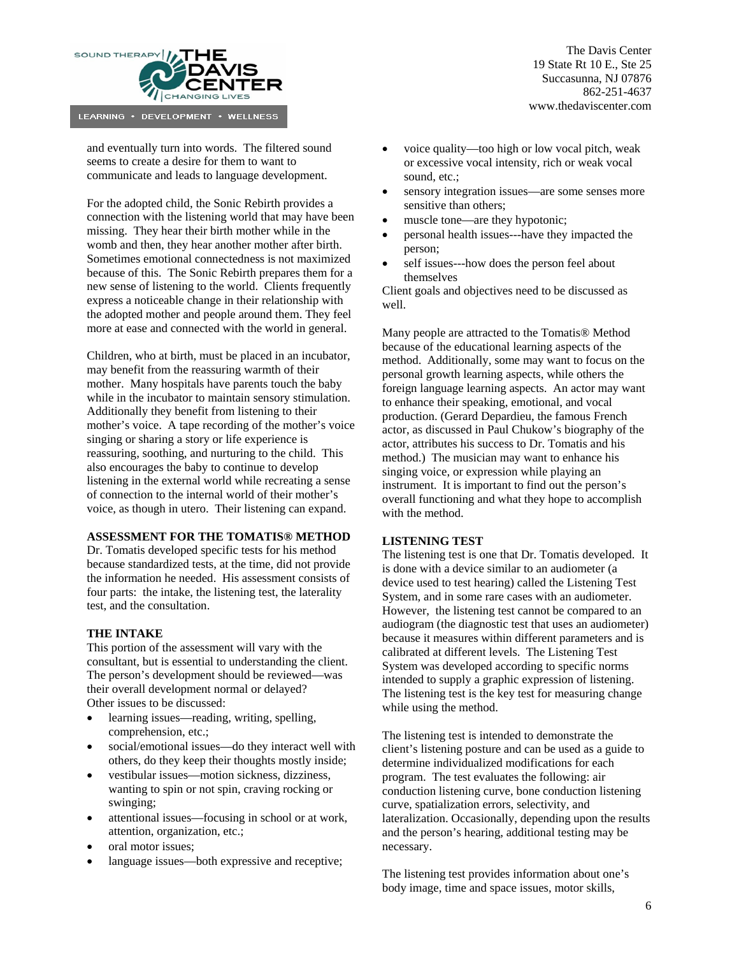

and eventually turn into words. The filtered sound seems to create a desire for them to want to communicate and leads to language development.

For the adopted child, the Sonic Rebirth provides a connection with the listening world that may have been missing. They hear their birth mother while in the womb and then, they hear another mother after birth. Sometimes emotional connectedness is not maximized because of this. The Sonic Rebirth prepares them for a new sense of listening to the world. Clients frequently express a noticeable change in their relationship with the adopted mother and people around them. They feel more at ease and connected with the world in general.

Children, who at birth, must be placed in an incubator, may benefit from the reassuring warmth of their mother. Many hospitals have parents touch the baby while in the incubator to maintain sensory stimulation. Additionally they benefit from listening to their mother's voice. A tape recording of the mother's voice singing or sharing a story or life experience is reassuring, soothing, and nurturing to the child. This also encourages the baby to continue to develop listening in the external world while recreating a sense of connection to the internal world of their mother's voice, as though in utero. Their listening can expand.

#### **ASSESSMENT FOR THE TOMATIS® METHOD**

Dr. Tomatis developed specific tests for his method because standardized tests, at the time, did not provide the information he needed. His assessment consists of four parts: the intake, the listening test, the laterality test, and the consultation.

#### **THE INTAKE**

This portion of the assessment will vary with the consultant, but is essential to understanding the client. The person's development should be reviewed—was their overall development normal or delayed? Other issues to be discussed:

- learning issues—reading, writing, spelling, comprehension, etc.;
- social/emotional issues—do they interact well with others, do they keep their thoughts mostly inside;
- vestibular issues—motion sickness, dizziness, wanting to spin or not spin, craving rocking or swinging;
- attentional issues—focusing in school or at work, attention, organization, etc.;
- oral motor issues:
- language issues—both expressive and receptive;

The Davis Center 19 State Rt 10 E., Ste 25 Succasunna, NJ 07876 862-251-4637 www.thedaviscenter.com

- voice quality—too high or low vocal pitch, weak or excessive vocal intensity, rich or weak vocal sound, etc.;
- sensory integration issues—are some senses more sensitive than others;
- muscle tone—are they hypotonic;
- personal health issues---have they impacted the person;
- self issues---how does the person feel about themselves

Client goals and objectives need to be discussed as well.

Many people are attracted to the Tomatis® Method because of the educational learning aspects of the method. Additionally, some may want to focus on the personal growth learning aspects, while others the foreign language learning aspects. An actor may want to enhance their speaking, emotional, and vocal production. (Gerard Depardieu, the famous French actor, as discussed in Paul Chukow's biography of the actor, attributes his success to Dr. Tomatis and his method.) The musician may want to enhance his singing voice, or expression while playing an instrument. It is important to find out the person's overall functioning and what they hope to accomplish with the method.

#### **LISTENING TEST**

The listening test is one that Dr. Tomatis developed. It is done with a device similar to an audiometer (a device used to test hearing) called the Listening Test System, and in some rare cases with an audiometer. However, the listening test cannot be compared to an audiogram (the diagnostic test that uses an audiometer) because it measures within different parameters and is calibrated at different levels. The Listening Test System was developed according to specific norms intended to supply a graphic expression of listening. The listening test is the key test for measuring change while using the method.

The listening test is intended to demonstrate the client's listening posture and can be used as a guide to determine individualized modifications for each program. The test evaluates the following: air conduction listening curve, bone conduction listening curve, spatialization errors, selectivity, and lateralization. Occasionally, depending upon the results and the person's hearing, additional testing may be necessary.

The listening test provides information about one's body image, time and space issues, motor skills,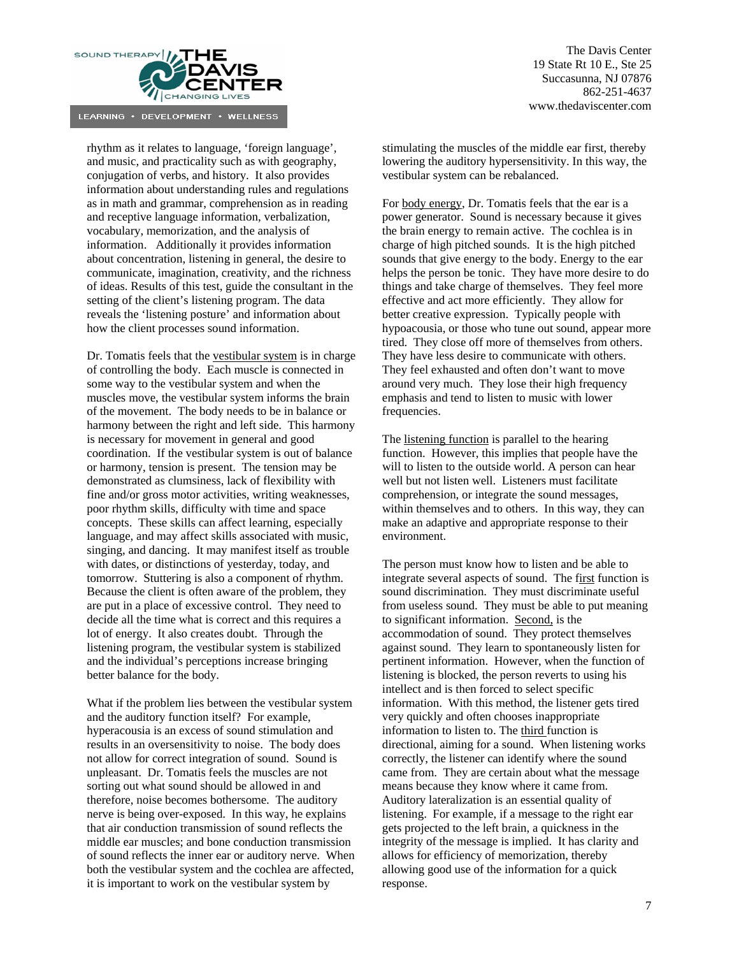

rhythm as it relates to language, 'foreign language', and music, and practicality such as with geography, conjugation of verbs, and history. It also provides information about understanding rules and regulations as in math and grammar, comprehension as in reading and receptive language information, verbalization, vocabulary, memorization, and the analysis of information. Additionally it provides information about concentration, listening in general, the desire to communicate, imagination, creativity, and the richness of ideas. Results of this test, guide the consultant in the setting of the client's listening program. The data reveals the 'listening posture' and information about how the client processes sound information.

Dr. Tomatis feels that the vestibular system is in charge of controlling the body. Each muscle is connected in some way to the vestibular system and when the muscles move, the vestibular system informs the brain of the movement. The body needs to be in balance or harmony between the right and left side. This harmony is necessary for movement in general and good coordination. If the vestibular system is out of balance or harmony, tension is present. The tension may be demonstrated as clumsiness, lack of flexibility with fine and/or gross motor activities, writing weaknesses, poor rhythm skills, difficulty with time and space concepts. These skills can affect learning, especially language, and may affect skills associated with music, singing, and dancing. It may manifest itself as trouble with dates, or distinctions of yesterday, today, and tomorrow. Stuttering is also a component of rhythm. Because the client is often aware of the problem, they are put in a place of excessive control. They need to decide all the time what is correct and this requires a lot of energy. It also creates doubt. Through the listening program, the vestibular system is stabilized and the individual's perceptions increase bringing better balance for the body.

What if the problem lies between the vestibular system and the auditory function itself? For example, hyperacousia is an excess of sound stimulation and results in an oversensitivity to noise. The body does not allow for correct integration of sound. Sound is unpleasant. Dr. Tomatis feels the muscles are not sorting out what sound should be allowed in and therefore, noise becomes bothersome. The auditory nerve is being over-exposed. In this way, he explains that air conduction transmission of sound reflects the middle ear muscles; and bone conduction transmission of sound reflects the inner ear or auditory nerve. When both the vestibular system and the cochlea are affected, it is important to work on the vestibular system by

stimulating the muscles of the middle ear first, thereby lowering the auditory hypersensitivity. In this way, the vestibular system can be rebalanced.

For body energy, Dr. Tomatis feels that the ear is a power generator. Sound is necessary because it gives the brain energy to remain active. The cochlea is in charge of high pitched sounds. It is the high pitched sounds that give energy to the body. Energy to the ear helps the person be tonic. They have more desire to do things and take charge of themselves. They feel more effective and act more efficiently. They allow for better creative expression. Typically people with hypoacousia, or those who tune out sound, appear more tired. They close off more of themselves from others. They have less desire to communicate with others. They feel exhausted and often don't want to move around very much. They lose their high frequency emphasis and tend to listen to music with lower frequencies.

The listening function is parallel to the hearing function. However, this implies that people have the will to listen to the outside world. A person can hear well but not listen well. Listeners must facilitate comprehension, or integrate the sound messages, within themselves and to others. In this way, they can make an adaptive and appropriate response to their environment.

The person must know how to listen and be able to integrate several aspects of sound. The first function is sound discrimination. They must discriminate useful from useless sound. They must be able to put meaning to significant information. Second, is the accommodation of sound. They protect themselves against sound. They learn to spontaneously listen for pertinent information. However, when the function of listening is blocked, the person reverts to using his intellect and is then forced to select specific information. With this method, the listener gets tired very quickly and often chooses inappropriate information to listen to. The third function is directional, aiming for a sound. When listening works correctly, the listener can identify where the sound came from. They are certain about what the message means because they know where it came from. Auditory lateralization is an essential quality of listening. For example, if a message to the right ear gets projected to the left brain, a quickness in the integrity of the message is implied. It has clarity and allows for efficiency of memorization, thereby allowing good use of the information for a quick response.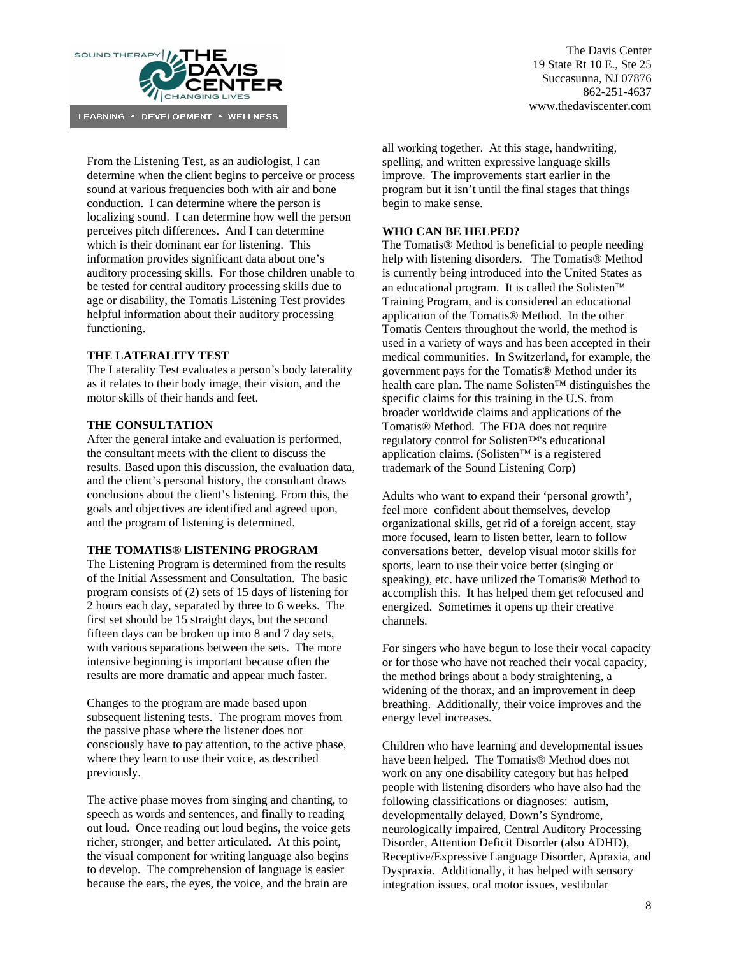

From the Listening Test, as an audiologist, I can determine when the client begins to perceive or process sound at various frequencies both with air and bone conduction. I can determine where the person is localizing sound. I can determine how well the person perceives pitch differences. And I can determine which is their dominant ear for listening. This information provides significant data about one's auditory processing skills. For those children unable to be tested for central auditory processing skills due to age or disability, the Tomatis Listening Test provides helpful information about their auditory processing functioning.

## **THE LATERALITY TEST**

The Laterality Test evaluates a person's body laterality as it relates to their body image, their vision, and the motor skills of their hands and feet.

## **THE CONSULTATION**

After the general intake and evaluation is performed, the consultant meets with the client to discuss the results. Based upon this discussion, the evaluation data, and the client's personal history, the consultant draws conclusions about the client's listening. From this, the goals and objectives are identified and agreed upon, and the program of listening is determined.

#### **THE TOMATIS® LISTENING PROGRAM**

The Listening Program is determined from the results of the Initial Assessment and Consultation. The basic program consists of (2) sets of 15 days of listening for 2 hours each day, separated by three to 6 weeks. The first set should be 15 straight days, but the second fifteen days can be broken up into 8 and 7 day sets, with various separations between the sets. The more intensive beginning is important because often the results are more dramatic and appear much faster.

Changes to the program are made based upon subsequent listening tests. The program moves from the passive phase where the listener does not consciously have to pay attention, to the active phase, where they learn to use their voice, as described previously.

The active phase moves from singing and chanting, to speech as words and sentences, and finally to reading out loud. Once reading out loud begins, the voice gets richer, stronger, and better articulated. At this point, the visual component for writing language also begins to develop. The comprehension of language is easier because the ears, the eyes, the voice, and the brain are

all working together. At this stage, handwriting, spelling, and written expressive language skills improve. The improvements start earlier in the program but it isn't until the final stages that things begin to make sense.

#### **WHO CAN BE HELPED?**

The Tomatis® Method is beneficial to people needing help with listening disorders. The Tomatis® Method is currently being introduced into the United States as an educational program. It is called the Solisten™ Training Program, and is considered an educational application of the Tomatis® Method. In the other Tomatis Centers throughout the world, the method is used in a variety of ways and has been accepted in their medical communities. In Switzerland, for example, the government pays for the Tomatis® Method under its health care plan. The name Solisten™ distinguishes the specific claims for this training in the U.S. from broader worldwide claims and applications of the Tomatis® Method. The FDA does not require regulatory control for Solisten™'s educational application claims. (Solisten™ is a registered trademark of the Sound Listening Corp)

Adults who want to expand their 'personal growth', feel more confident about themselves, develop organizational skills, get rid of a foreign accent, stay more focused, learn to listen better, learn to follow conversations better, develop visual motor skills for sports, learn to use their voice better (singing or speaking), etc. have utilized the Tomatis® Method to accomplish this. It has helped them get refocused and energized. Sometimes it opens up their creative channels.

For singers who have begun to lose their vocal capacity or for those who have not reached their vocal capacity, the method brings about a body straightening, a widening of the thorax, and an improvement in deep breathing. Additionally, their voice improves and the energy level increases.

Children who have learning and developmental issues have been helped. The Tomatis® Method does not work on any one disability category but has helped people with listening disorders who have also had the following classifications or diagnoses: autism, developmentally delayed, Down's Syndrome, neurologically impaired, Central Auditory Processing Disorder, Attention Deficit Disorder (also ADHD), Receptive/Expressive Language Disorder, Apraxia, and Dyspraxia. Additionally, it has helped with sensory integration issues, oral motor issues, vestibular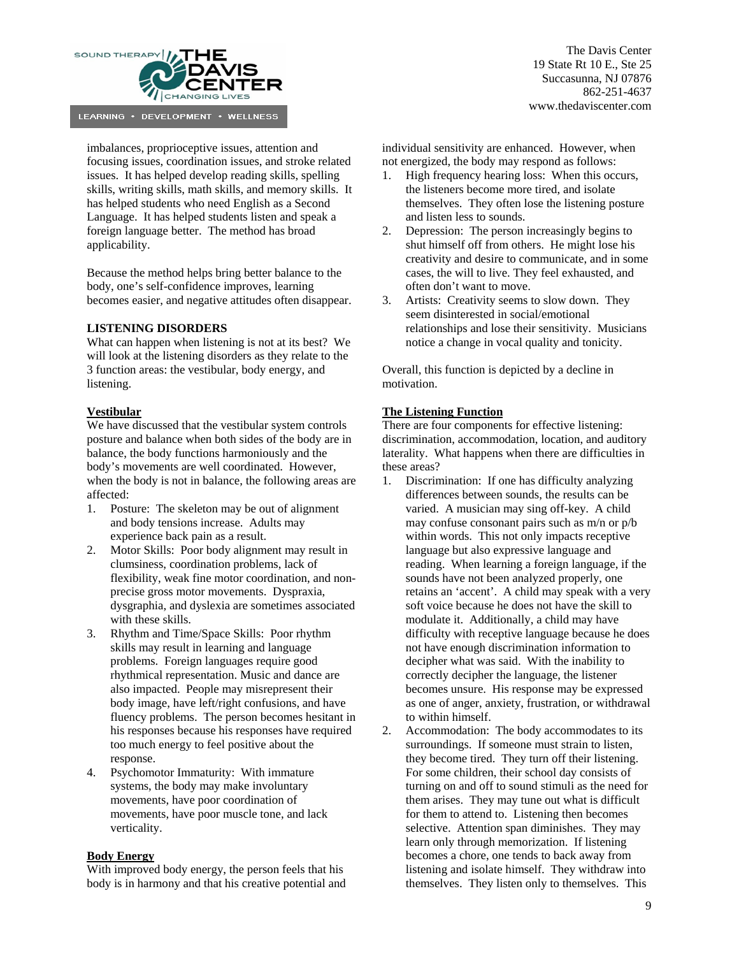

imbalances, proprioceptive issues, attention and focusing issues, coordination issues, and stroke related issues. It has helped develop reading skills, spelling skills, writing skills, math skills, and memory skills. It has helped students who need English as a Second Language. It has helped students listen and speak a foreign language better. The method has broad applicability.

Because the method helps bring better balance to the body, one's self-confidence improves, learning becomes easier, and negative attitudes often disappear.

## **LISTENING DISORDERS**

What can happen when listening is not at its best? We will look at the listening disorders as they relate to the 3 function areas: the vestibular, body energy, and listening.

## **Vestibular**

We have discussed that the vestibular system controls posture and balance when both sides of the body are in balance, the body functions harmoniously and the body's movements are well coordinated. However, when the body is not in balance, the following areas are affected:

- 1. Posture: The skeleton may be out of alignment and body tensions increase. Adults may experience back pain as a result.
- 2. Motor Skills: Poor body alignment may result in clumsiness, coordination problems, lack of flexibility, weak fine motor coordination, and nonprecise gross motor movements. Dyspraxia, dysgraphia, and dyslexia are sometimes associated with these skills.
- 3. Rhythm and Time/Space Skills: Poor rhythm skills may result in learning and language problems. Foreign languages require good rhythmical representation. Music and dance are also impacted. People may misrepresent their body image, have left/right confusions, and have fluency problems. The person becomes hesitant in his responses because his responses have required too much energy to feel positive about the response.
- 4. Psychomotor Immaturity: With immature systems, the body may make involuntary movements, have poor coordination of movements, have poor muscle tone, and lack verticality.

#### **Body Energy**

With improved body energy, the person feels that his body is in harmony and that his creative potential and

The Davis Center 19 State Rt 10 E., Ste 25 Succasunna, NJ 07876 862-251-4637 www.thedaviscenter.com

individual sensitivity are enhanced. However, when not energized, the body may respond as follows:

- High frequency hearing loss: When this occurs, the listeners become more tired, and isolate themselves. They often lose the listening posture and listen less to sounds.
- 2. Depression: The person increasingly begins to shut himself off from others. He might lose his creativity and desire to communicate, and in some cases, the will to live. They feel exhausted, and often don't want to move.
- 3. Artists: Creativity seems to slow down. They seem disinterested in social/emotional relationships and lose their sensitivity. Musicians notice a change in vocal quality and tonicity.

Overall, this function is depicted by a decline in motivation.

## **The Listening Function**

There are four components for effective listening: discrimination, accommodation, location, and auditory laterality. What happens when there are difficulties in these areas?

- 1. Discrimination: If one has difficulty analyzing differences between sounds, the results can be varied. A musician may sing off-key. A child may confuse consonant pairs such as m/n or p/b within words. This not only impacts receptive language but also expressive language and reading. When learning a foreign language, if the sounds have not been analyzed properly, one retains an 'accent'. A child may speak with a very soft voice because he does not have the skill to modulate it. Additionally, a child may have difficulty with receptive language because he does not have enough discrimination information to decipher what was said. With the inability to correctly decipher the language, the listener becomes unsure. His response may be expressed as one of anger, anxiety, frustration, or withdrawal to within himself.
- 2. Accommodation: The body accommodates to its surroundings. If someone must strain to listen, they become tired. They turn off their listening. For some children, their school day consists of turning on and off to sound stimuli as the need for them arises. They may tune out what is difficult for them to attend to. Listening then becomes selective. Attention span diminishes. They may learn only through memorization. If listening becomes a chore, one tends to back away from listening and isolate himself. They withdraw into themselves. They listen only to themselves. This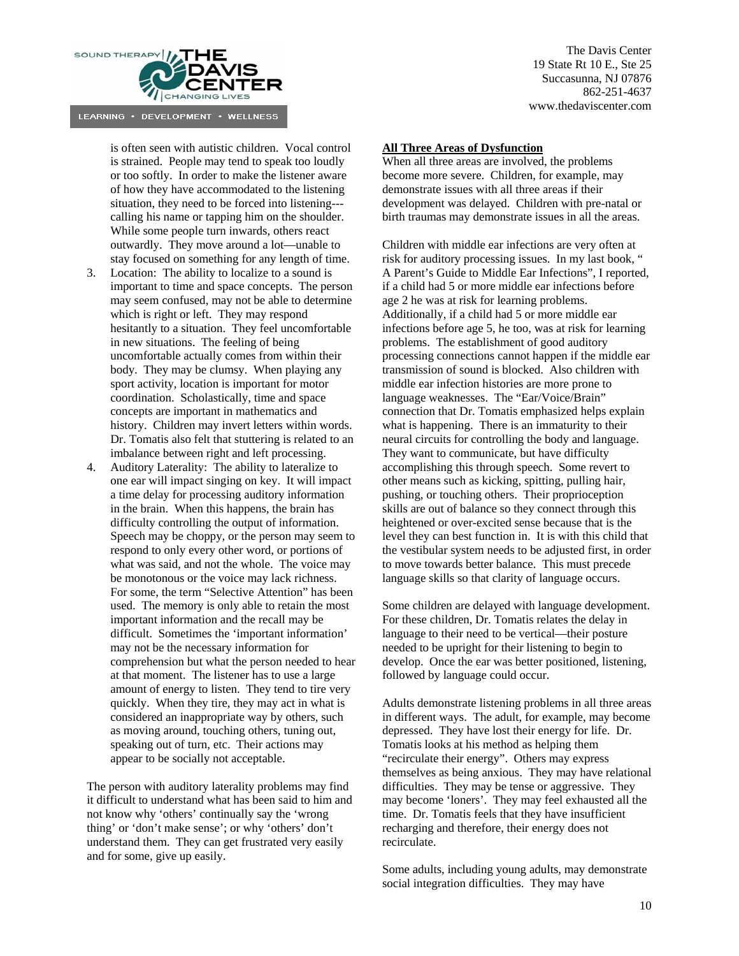

is often seen with autistic children. Vocal control is strained. People may tend to speak too loudly or too softly. In order to make the listener aware of how they have accommodated to the listening situation, they need to be forced into listening-- calling his name or tapping him on the shoulder. While some people turn inwards, others react outwardly. They move around a lot—unable to stay focused on something for any length of time.

- 3. Location: The ability to localize to a sound is important to time and space concepts. The person may seem confused, may not be able to determine which is right or left. They may respond hesitantly to a situation. They feel uncomfortable in new situations. The feeling of being uncomfortable actually comes from within their body. They may be clumsy. When playing any sport activity, location is important for motor coordination. Scholastically, time and space concepts are important in mathematics and history. Children may invert letters within words. Dr. Tomatis also felt that stuttering is related to an imbalance between right and left processing.
- 4. Auditory Laterality: The ability to lateralize to one ear will impact singing on key. It will impact a time delay for processing auditory information in the brain. When this happens, the brain has difficulty controlling the output of information. Speech may be choppy, or the person may seem to respond to only every other word, or portions of what was said, and not the whole. The voice may be monotonous or the voice may lack richness. For some, the term "Selective Attention" has been used. The memory is only able to retain the most important information and the recall may be difficult. Sometimes the 'important information' may not be the necessary information for comprehension but what the person needed to hear at that moment. The listener has to use a large amount of energy to listen. They tend to tire very quickly. When they tire, they may act in what is considered an inappropriate way by others, such as moving around, touching others, tuning out, speaking out of turn, etc. Their actions may appear to be socially not acceptable.

The person with auditory laterality problems may find it difficult to understand what has been said to him and not know why 'others' continually say the 'wrong thing' or 'don't make sense'; or why 'others' don't understand them. They can get frustrated very easily and for some, give up easily.

The Davis Center 19 State Rt 10 E., Ste 25 Succasunna, NJ 07876 862-251-4637 www.thedaviscenter.com

## **All Three Areas of Dysfunction**

When all three areas are involved, the problems become more severe. Children, for example, may demonstrate issues with all three areas if their development was delayed. Children with pre-natal or birth traumas may demonstrate issues in all the areas.

Children with middle ear infections are very often at risk for auditory processing issues. In my last book, " A Parent's Guide to Middle Ear Infections", I reported, if a child had 5 or more middle ear infections before age 2 he was at risk for learning problems. Additionally, if a child had 5 or more middle ear infections before age 5, he too, was at risk for learning problems. The establishment of good auditory processing connections cannot happen if the middle ear transmission of sound is blocked. Also children with middle ear infection histories are more prone to language weaknesses. The "Ear/Voice/Brain" connection that Dr. Tomatis emphasized helps explain what is happening. There is an immaturity to their neural circuits for controlling the body and language. They want to communicate, but have difficulty accomplishing this through speech. Some revert to other means such as kicking, spitting, pulling hair, pushing, or touching others. Their proprioception skills are out of balance so they connect through this heightened or over-excited sense because that is the level they can best function in. It is with this child that the vestibular system needs to be adjusted first, in order to move towards better balance. This must precede language skills so that clarity of language occurs.

Some children are delayed with language development. For these children, Dr. Tomatis relates the delay in language to their need to be vertical—their posture needed to be upright for their listening to begin to develop. Once the ear was better positioned, listening, followed by language could occur.

Adults demonstrate listening problems in all three areas in different ways. The adult, for example, may become depressed. They have lost their energy for life. Dr. Tomatis looks at his method as helping them "recirculate their energy". Others may express themselves as being anxious. They may have relational difficulties. They may be tense or aggressive. They may become 'loners'. They may feel exhausted all the time. Dr. Tomatis feels that they have insufficient recharging and therefore, their energy does not recirculate.

Some adults, including young adults, may demonstrate social integration difficulties. They may have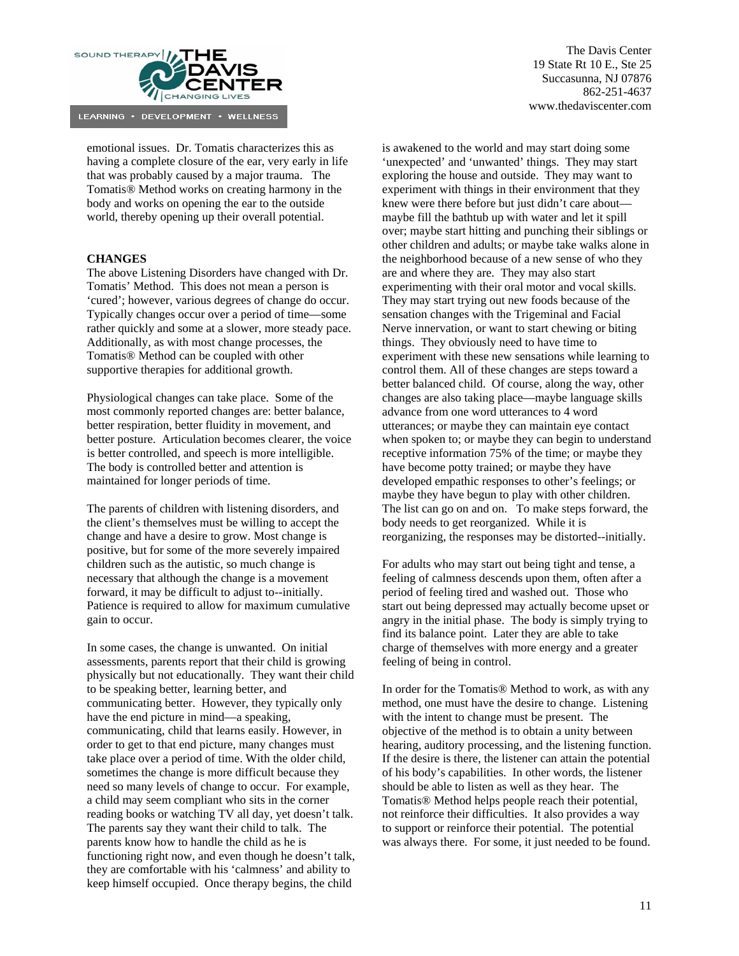

emotional issues. Dr. Tomatis characterizes this as having a complete closure of the ear, very early in life that was probably caused by a major trauma. The Tomatis® Method works on creating harmony in the body and works on opening the ear to the outside world, thereby opening up their overall potential.

## **CHANGES**

The above Listening Disorders have changed with Dr. Tomatis' Method. This does not mean a person is 'cured'; however, various degrees of change do occur. Typically changes occur over a period of time—some rather quickly and some at a slower, more steady pace. Additionally, as with most change processes, the Tomatis® Method can be coupled with other supportive therapies for additional growth.

Physiological changes can take place. Some of the most commonly reported changes are: better balance, better respiration, better fluidity in movement, and better posture. Articulation becomes clearer, the voice is better controlled, and speech is more intelligible. The body is controlled better and attention is maintained for longer periods of time.

The parents of children with listening disorders, and the client's themselves must be willing to accept the change and have a desire to grow. Most change is positive, but for some of the more severely impaired children such as the autistic, so much change is necessary that although the change is a movement forward, it may be difficult to adjust to--initially. Patience is required to allow for maximum cumulative gain to occur.

In some cases, the change is unwanted. On initial assessments, parents report that their child is growing physically but not educationally. They want their child to be speaking better, learning better, and communicating better. However, they typically only have the end picture in mind—a speaking, communicating, child that learns easily. However, in order to get to that end picture, many changes must take place over a period of time. With the older child, sometimes the change is more difficult because they need so many levels of change to occur. For example, a child may seem compliant who sits in the corner reading books or watching TV all day, yet doesn't talk. The parents say they want their child to talk. The parents know how to handle the child as he is functioning right now, and even though he doesn't talk, they are comfortable with his 'calmness' and ability to keep himself occupied. Once therapy begins, the child

The Davis Center 19 State Rt 10 E., Ste 25 Succasunna, NJ 07876 862-251-4637 www.thedaviscenter.com

is awakened to the world and may start doing some 'unexpected' and 'unwanted' things. They may start exploring the house and outside. They may want to experiment with things in their environment that they knew were there before but just didn't care about maybe fill the bathtub up with water and let it spill over; maybe start hitting and punching their siblings or other children and adults; or maybe take walks alone in the neighborhood because of a new sense of who they are and where they are. They may also start experimenting with their oral motor and vocal skills. They may start trying out new foods because of the sensation changes with the Trigeminal and Facial Nerve innervation, or want to start chewing or biting things. They obviously need to have time to experiment with these new sensations while learning to control them. All of these changes are steps toward a better balanced child. Of course, along the way, other changes are also taking place—maybe language skills advance from one word utterances to 4 word utterances; or maybe they can maintain eye contact when spoken to; or maybe they can begin to understand receptive information 75% of the time; or maybe they have become potty trained; or maybe they have developed empathic responses to other's feelings; or maybe they have begun to play with other children. The list can go on and on. To make steps forward, the body needs to get reorganized. While it is reorganizing, the responses may be distorted--initially.

For adults who may start out being tight and tense, a feeling of calmness descends upon them, often after a period of feeling tired and washed out. Those who start out being depressed may actually become upset or angry in the initial phase. The body is simply trying to find its balance point. Later they are able to take charge of themselves with more energy and a greater feeling of being in control.

In order for the Tomatis® Method to work, as with any method, one must have the desire to change. Listening with the intent to change must be present. The objective of the method is to obtain a unity between hearing, auditory processing, and the listening function. If the desire is there, the listener can attain the potential of his body's capabilities. In other words, the listener should be able to listen as well as they hear. The Tomatis® Method helps people reach their potential, not reinforce their difficulties. It also provides a way to support or reinforce their potential. The potential was always there. For some, it just needed to be found.